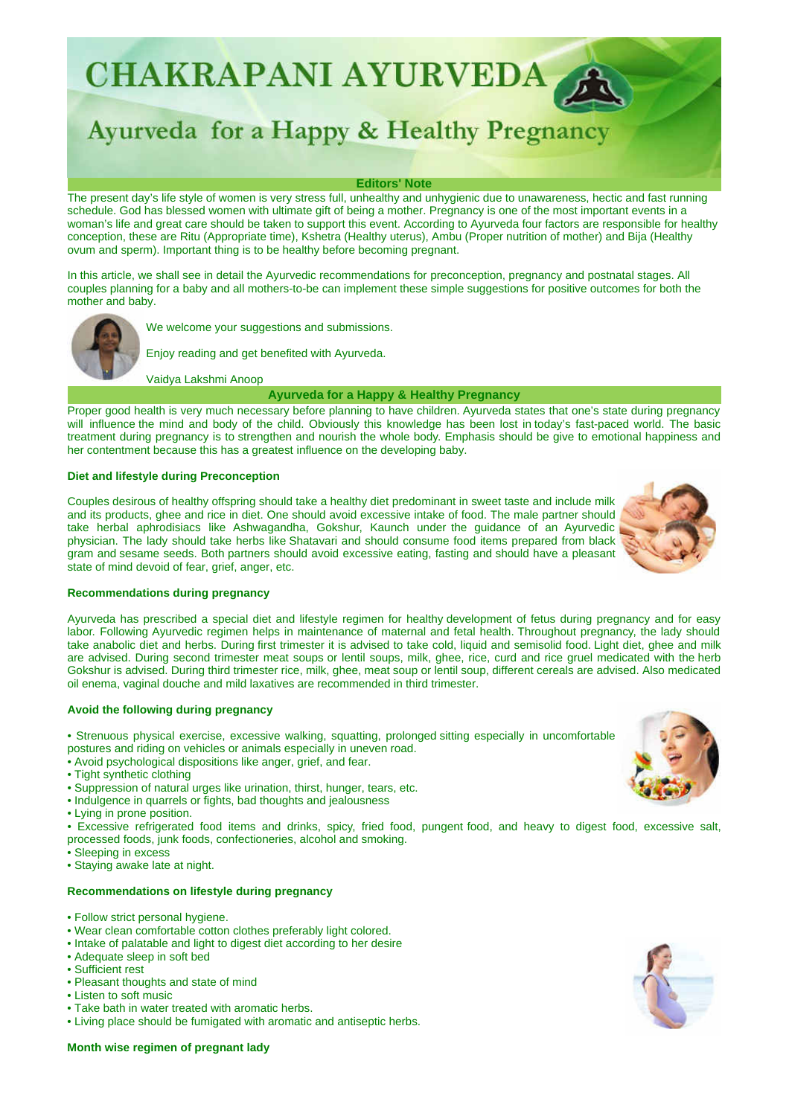CHAKRAPANI AYURVEDA

# Ayurveda for a Happy & Healthy Pregnancy

#### **Editors' Note**

The present day's life style of women is very stress full, unhealthy and unhygienic due to unawareness, hectic and fast running schedule. God has blessed women with ultimate gift of being a mother. Pregnancy is one of the most important events in a woman's life and great care should be taken to support this event. According to Ayurveda four factors are responsible for healthy conception, these are Ritu (Appropriate time), Kshetra (Healthy uterus), Ambu (Proper nutrition of mother) and Bija (Healthy ovum and sperm). Important thing is to be healthy before becoming pregnant.

In this article, we shall see in detail the Ayurvedic recommendations for preconception, pregnancy and postnatal stages. All couples planning for a baby and all mothers-to-be can implement these simple suggestions for positive outcomes for both the mother and baby.



We welcome your suggestions and submissions.

Enjoy reading and get benefited with Ayurveda.

Vaidya Lakshmi Anoop

## **Ayurveda for a Happy & Healthy Pregnancy**

Proper good health is very much necessary before planning to have children. Ayurveda states that one's state during pregnancy will influence the mind and body of the child. Obviously this knowledge has been lost in today's fast-paced world. The basic treatment during pregnancy is to strengthen and nourish the whole body. Emphasis should be give to emotional happiness and her contentment because this has a greatest influence on the developing baby.

## **Diet and lifestyle during Preconception**

Couples desirous of healthy offspring should take a healthy diet predominant in sweet taste and include milk and its products, ghee and rice in diet. One should avoid excessive intake of food. The male partner should take herbal aphrodisiacs like Ashwagandha, Gokshur, Kaunch under the guidance of an Ayurvedic physician. The lady should take herbs like Shatavari and should consume food items prepared from black gram and sesame seeds. Both partners should avoid excessive eating, fasting and should have a pleasant state of mind devoid of fear, grief, anger, etc.



## **Recommendations during pregnancy**

Ayurveda has prescribed a special diet and lifestyle regimen for healthy development of fetus during pregnancy and for easy labor. Following Ayurvedic regimen helps in maintenance of maternal and fetal health. Throughout pregnancy, the lady should take anabolic diet and herbs. During first trimester it is advised to take cold, liquid and semisolid food. Light diet, ghee and milk are advised. During second trimester meat soups or lentil soups, milk, ghee, rice, curd and rice gruel medicated with the herb Gokshur is advised. During third trimester rice, milk, ghee, meat soup or lentil soup, different cereals are advised. Also medicated oil enema, vaginal douche and mild laxatives are recommended in third trimester.

#### **Avoid the following during pregnancy**

- Strenuous physical exercise, excessive walking, squatting, prolonged sitting especially in uncomfortable postures and riding on vehicles or animals especially in uneven road.
- Avoid psychological dispositions like anger, grief, and fear.
- Tight synthetic clothing
- Suppression of natural urges like urination, thirst, hunger, tears, etc.
- Indulgence in quarrels or fights, bad thoughts and jealousness
- Lying in prone position.
- Excessive refrigerated food items and drinks, spicy, fried food, pungent food, and heavy to digest food, excessive salt,
- processed foods, junk foods, confectioneries, alcohol and smoking.
- Sleeping in excess
- Staying awake late at night.

## **Recommendations on lifestyle during pregnancy**

- Follow strict personal hygiene.
- Wear clean comfortable cotton clothes preferably light colored.
- Intake of palatable and light to digest diet according to her desire
- Adequate sleep in soft bed
- Sufficient rest
- Pleasant thoughts and state of mind
- Listen to soft music
- Take bath in water treated with aromatic herbs.
- Living place should be fumigated with aromatic and antiseptic herbs.





## **Month wise regimen of pregnant lady**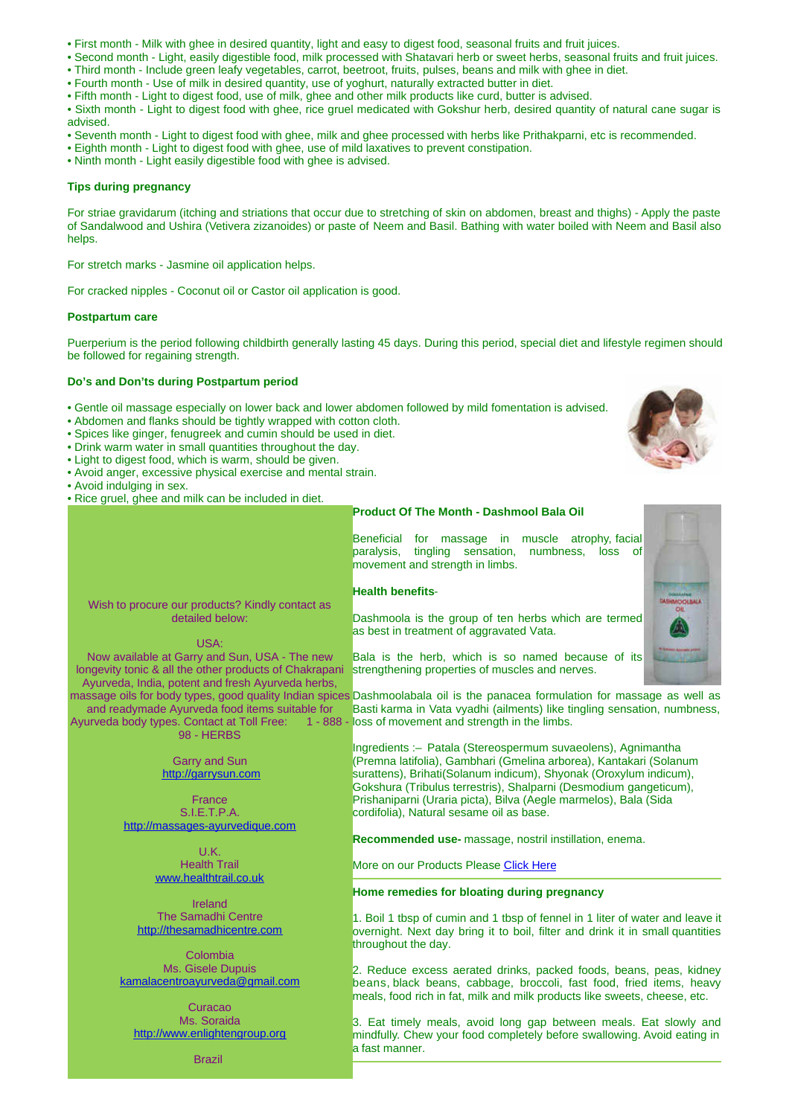- First month Milk with ghee in desired quantity, light and easy to digest food, seasonal fruits and fruit juices.
- Second month Light, easily digestible food, milk processed with Shatavari herb or sweet herbs, seasonal fruits and fruit juices.
- Third month Include green leafy vegetables, carrot, beetroot, fruits, pulses, beans and milk with ghee in diet.
- Fourth month Use of milk in desired quantity, use of yoghurt, naturally extracted butter in diet.
- Fifth month Light to digest food, use of milk, ghee and other milk products like curd, butter is advised.
- Sixth month Light to digest food with ghee, rice gruel medicated with Gokshur herb, desired quantity of natural cane sugar is advised.
- Seventh month Light to digest food with ghee, milk and ghee processed with herbs like Prithakparni, etc is recommended.
- Eighth month Light to digest food with ghee, use of mild laxatives to prevent constipation.
- Ninth month Light easily digestible food with ghee is advised.

## **Tips during pregnancy**

For striae gravidarum (itching and striations that occur due to stretching of skin on abdomen, breast and thighs) - Apply the paste of Sandalwood and Ushira (Vetivera zizanoides) or paste of Neem and Basil. Bathing with water boiled with Neem and Basil also helps.

For stretch marks - Jasmine oil application helps.

For cracked nipples - Coconut oil or Castor oil application is good.

## **Postpartum care**

Puerperium is the period following childbirth generally lasting 45 days. During this period, special diet and lifestyle regimen should be followed for regaining strength.

#### **Do's and Don'ts during Postpartum period**

• Gentle oil massage especially on lower back and lower abdomen followed by mild fomentation is advised.

- Abdomen and flanks should be tightly wrapped with cotton cloth.
- Spices like ginger, fenugreek and cumin should be used in diet.
- Drink warm water in small quantities throughout the day.
- Light to digest food, which is warm, should be given.

Wish to procure our products? Kindly contact as detailed below: USA: Now available at Garry and Sun, USA - The new longevity tonic & all the other products of Chakrapani Ayurveda, India, potent and fresh Ayurveda herbs,

and readymade Ayurveda food items suitable for

98 - HERBS Garry and Sun <http://garrysun.com> France S.I.E.T.P.A. <http://massages-ayurvedique.com> U.K. Health Trail [www.healthtrail.co.uk](http://www.healthtrail.co.uk) Ireland The Samadhi Centre <http://thesamadhicentre.com> Colombia Ms. Gisele Dupuis [kamalacentroayurveda@gmail.com](mailto:kamalacentroayurveda@gmail.com) Curacao Ms. Soraida

Ayurveda body types. Contact at Toll Free:

- Avoid anger, excessive physical exercise and mental strain.
- Avoid indulging in sex.
- Rice gruel, ghee and milk can be included in diet.

## **Product Of The Month - Dashmool Bala Oil**

Beneficial for massage in muscle atrophy, facial paralysis, tingling sensation, numbness, loss of movement and strength in limbs.

#### **Health benefits**-

Dashmoola is the group of ten herbs which are termed as best in treatment of aggravated Vata.

Bala is the herb, which is so named because of its strengthening properties of muscles and nerves.

massage oils for body types, good quality Indian spices Dashmoolabala oil is the panacea formulation for massage as well as Basti karma in Vata vyadhi (ailments) like tingling sensation, numbness, 1 - 888 - loss of movement and strength in the limbs.

> Ingredients :– Patala (Stereospermum suvaeolens), Agnimantha (Premna latifolia), Gambhari (Gmelina arborea), Kantakari (Solanum surattens), Brihati(Solanum indicum), Shyonak (Oroxylum indicum), Gokshura (Tribulus terrestris), Shalparni (Desmodium gangeticum), Prishaniparni (Uraria picta), Bilva (Aegle marmelos), Bala (Sida cordifolia), Natural sesame oil as base.

**Recommended use-** massage, nostril instillation, enema.

More on our Products Please [Click Here](http://chakrapaniayurveda.com/ayurveda-product/)

## **Home remedies for bloating during pregnancy**

1. Boil 1 tbsp of cumin and 1 tbsp of fennel in 1 liter of water and leave it overnight. Next day bring it to boil, filter and drink it in small quantities throughout the day.

2. Reduce excess aerated drinks, packed foods, beans, peas, kidney beans, black beans, cabbage, broccoli, fast food, fried items, heavy meals, food rich in fat, milk and milk products like sweets, cheese, etc.

3. Eat timely meals, avoid long gap between meals. Eat slowly and mindfully. Chew your food completely before swallowing. Avoid eating in a fast manner.





<http://www.enlightengroup.org> Brazil